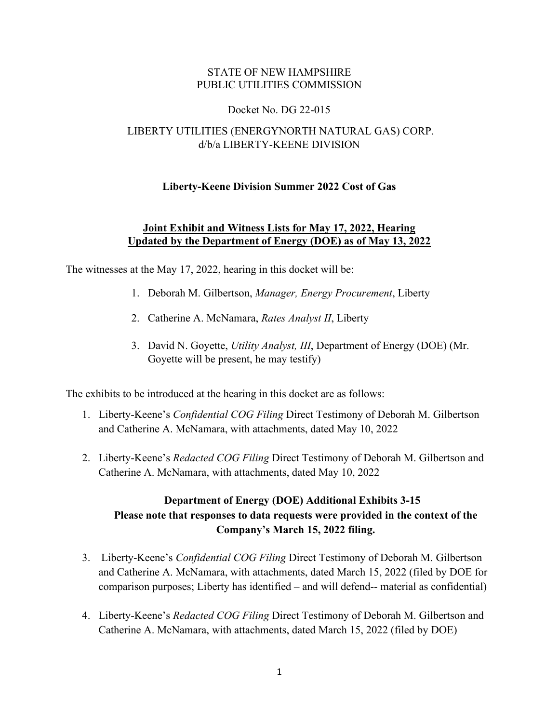## STATE OF NEW HAMPSHIRE PUBLIC UTILITIES COMMISSION

## Docket No. DG 22-015

# LIBERTY UTILITIES (ENERGYNORTH NATURAL GAS) CORP. d/b/a LIBERTY-KEENE DIVISION

# **Liberty-Keene Division Summer 2022 Cost of Gas**

## **Joint Exhibit and Witness Lists for May 17, 2022, Hearing Updated by the Department of Energy (DOE) as of May 13, 2022**

The witnesses at the May 17, 2022, hearing in this docket will be:

- 1. Deborah M. Gilbertson, *Manager, Energy Procurement*, Liberty
- 2. Catherine A. McNamara, *Rates Analyst II*, Liberty
- 3. David N. Goyette, *Utility Analyst, III*, Department of Energy (DOE) (Mr. Goyette will be present, he may testify)

The exhibits to be introduced at the hearing in this docket are as follows:

- 1. Liberty-Keene's *Confidential COG Filing* Direct Testimony of Deborah M. Gilbertson and Catherine A. McNamara, with attachments, dated May 10, 2022
- 2. Liberty-Keene's *Redacted COG Filing* Direct Testimony of Deborah M. Gilbertson and Catherine A. McNamara, with attachments, dated May 10, 2022

# **Department of Energy (DOE) Additional Exhibits 3-15 Please note that responses to data requests were provided in the context of the Company's March 15, 2022 filing.**

- 3. Liberty-Keene's *Confidential COG Filing* Direct Testimony of Deborah M. Gilbertson and Catherine A. McNamara, with attachments, dated March 15, 2022 (filed by DOE for comparison purposes; Liberty has identified – and will defend-- material as confidential)
- 4. Liberty-Keene's *Redacted COG Filing* Direct Testimony of Deborah M. Gilbertson and Catherine A. McNamara, with attachments, dated March 15, 2022 (filed by DOE)